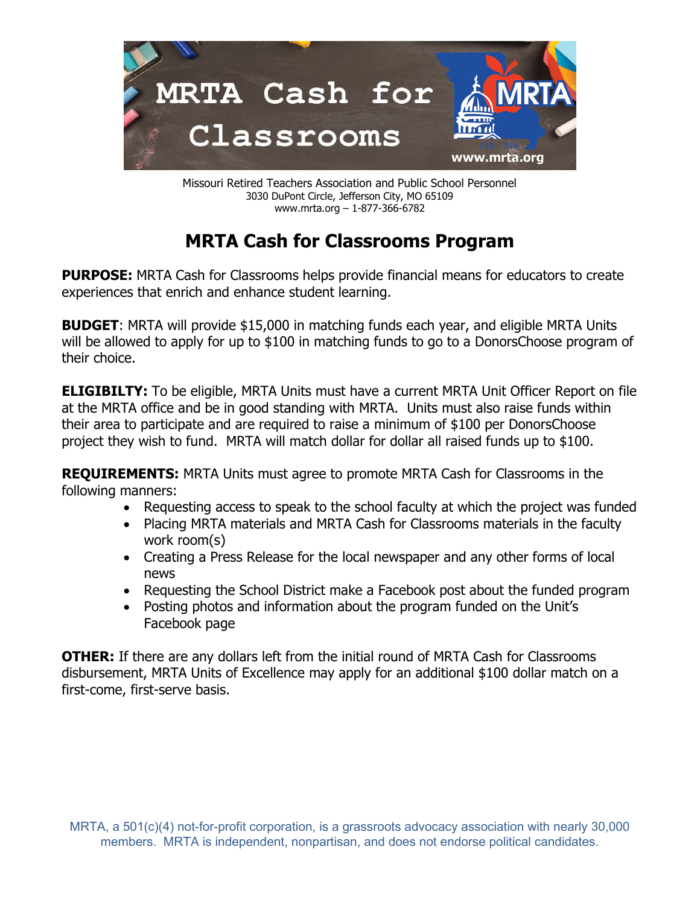

Missouri Retired Teachers Association and Public School Personnel 3030 DuPont Circle, Jefferson City, MO 65109 www.mrta.org – 1-877-366-6782

## **MRTA Cash for Classrooms Program**

**PURPOSE:** MRTA Cash for Classrooms helps provide financial means for educators to create experiences that enrich and enhance student learning.

**BUDGET:** MRTA will provide \$15,000 in matching funds each year, and eligible MRTA Units will be allowed to apply for up to \$100 in matching funds to go to a DonorsChoose program of their choice.

**ELIGIBILTY:** To be eligible, MRTA Units must have a current MRTA Unit Officer Report on file at the MRTA office and be in good standing with MRTA. Units must also raise funds within their area to participate and are required to raise a minimum of \$100 per DonorsChoose project they wish to fund. MRTA will match dollar for dollar all raised funds up to \$100.

**REQUIREMENTS:** MRTA Units must agree to promote MRTA Cash for Classrooms in the following manners:

- Requesting access to speak to the school faculty at which the project was funded
- Placing MRTA materials and MRTA Cash for Classrooms materials in the faculty work room(s)
- Creating a Press Release for the local newspaper and any other forms of local news
- Requesting the School District make a Facebook post about the funded program
- Posting photos and information about the program funded on the Unit's Facebook page

**OTHER:** If there are any dollars left from the initial round of MRTA Cash for Classrooms disbursement, MRTA Units of Excellence may apply for an additional \$100 dollar match on a first-come, first-serve basis.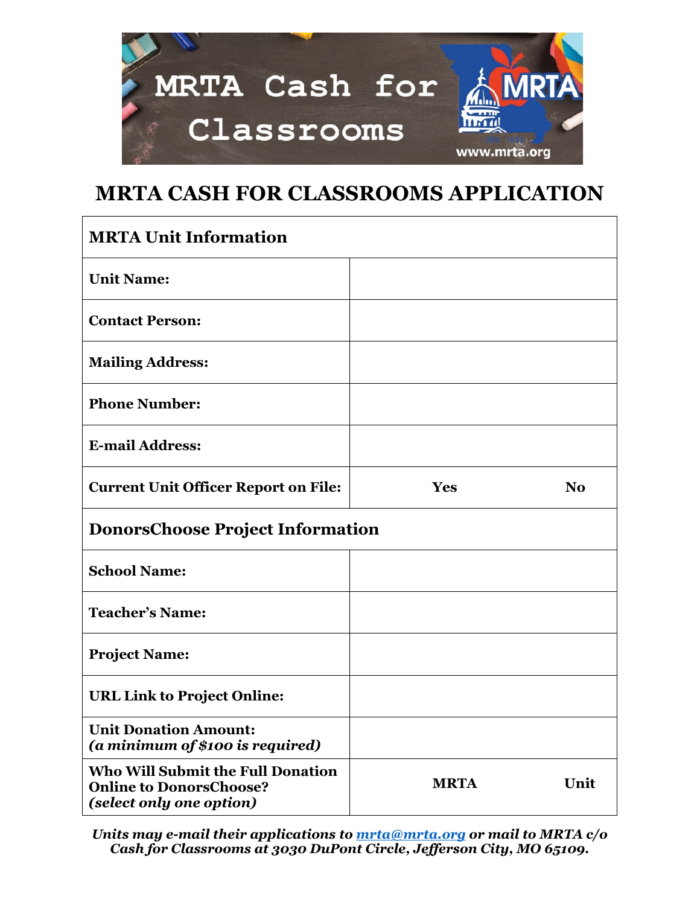

## **MRTA CASH FOR CLASSROOMS APPLICATION**

| <b>MRTA Unit Information</b>                                                                           |             |                |
|--------------------------------------------------------------------------------------------------------|-------------|----------------|
| <b>Unit Name:</b>                                                                                      |             |                |
| <b>Contact Person:</b>                                                                                 |             |                |
| <b>Mailing Address:</b>                                                                                |             |                |
| <b>Phone Number:</b>                                                                                   |             |                |
| <b>E-mail Address:</b>                                                                                 |             |                |
| <b>Current Unit Officer Report on File:</b>                                                            | Yes         | N <sub>0</sub> |
| <b>DonorsChoose Project Information</b>                                                                |             |                |
| <b>School Name:</b>                                                                                    |             |                |
| <b>Teacher's Name:</b>                                                                                 |             |                |
| <b>Project Name:</b>                                                                                   |             |                |
| <b>URL Link to Project Online:</b>                                                                     |             |                |
| <b>Unit Donation Amount:</b><br>(a minimum of \$100 is required)                                       |             |                |
| <b>Who Will Submit the Full Donation</b><br><b>Online to DonorsChoose?</b><br>(select only one option) | <b>MRTA</b> | Unit           |

*Units may e-mail their applications to [mrta@mrta.org](mailto:mrta@mrta.org) or mail to MRTA c/o Cash for Classrooms at 3030 DuPont Circle, Jefferson City, MO 65109.*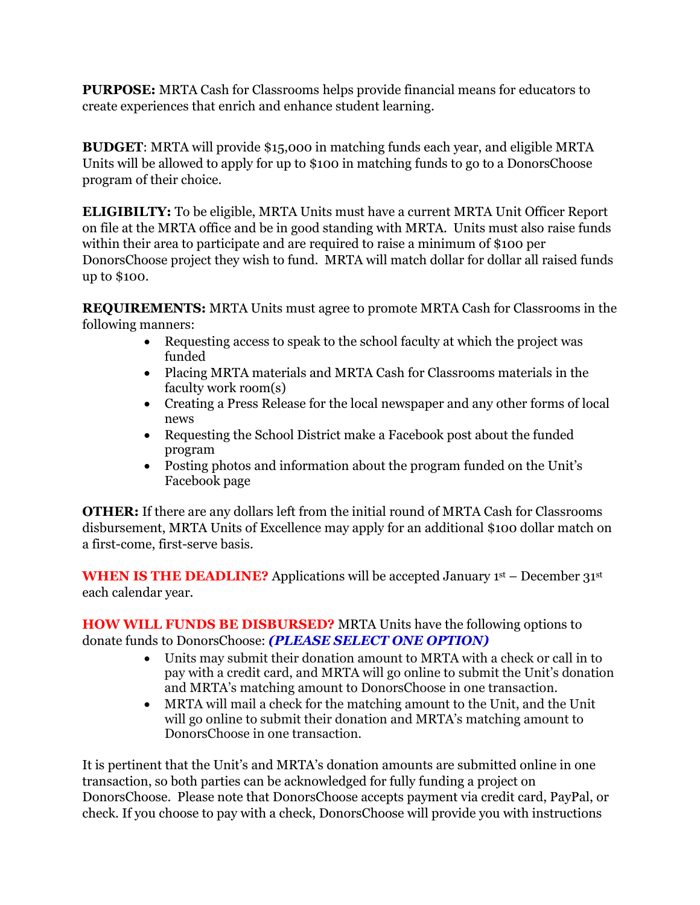**PURPOSE:** MRTA Cash for Classrooms helps provide financial means for educators to create experiences that enrich and enhance student learning.

**BUDGET**: MRTA will provide \$15,000 in matching funds each year, and eligible MRTA Units will be allowed to apply for up to \$100 in matching funds to go to a DonorsChoose program of their choice.

**ELIGIBILTY:** To be eligible, MRTA Units must have a current MRTA Unit Officer Report on file at the MRTA office and be in good standing with MRTA. Units must also raise funds within their area to participate and are required to raise a minimum of \$100 per DonorsChoose project they wish to fund. MRTA will match dollar for dollar all raised funds up to \$100.

**REQUIREMENTS:** MRTA Units must agree to promote MRTA Cash for Classrooms in the following manners:

- Requesting access to speak to the school faculty at which the project was funded
- Placing MRTA materials and MRTA Cash for Classrooms materials in the faculty work room(s)
- Creating a Press Release for the local newspaper and any other forms of local news
- Requesting the School District make a Facebook post about the funded program
- Posting photos and information about the program funded on the Unit's Facebook page

**OTHER:** If there are any dollars left from the initial round of MRTA Cash for Classrooms disbursement, MRTA Units of Excellence may apply for an additional \$100 dollar match on a first-come, first-serve basis.

**WHEN IS THE DEADLINE?** Applications will be accepted January 1st – December 31st each calendar year.

**HOW WILL FUNDS BE DISBURSED?** MRTA Units have the following options to donate funds to DonorsChoose: *(PLEASE SELECT ONE OPTION)*

- Units may submit their donation amount to MRTA with a check or call in to pay with a credit card, and MRTA will go online to submit the Unit's donation and MRTA's matching amount to DonorsChoose in one transaction.
- MRTA will mail a check for the matching amount to the Unit, and the Unit will go online to submit their donation and MRTA's matching amount to DonorsChoose in one transaction.

It is pertinent that the Unit's and MRTA's donation amounts are submitted online in one transaction, so both parties can be acknowledged for fully funding a project on DonorsChoose. Please note that DonorsChoose accepts payment via credit card, PayPal, or check. If you choose to pay with a check, DonorsChoose will provide you with instructions